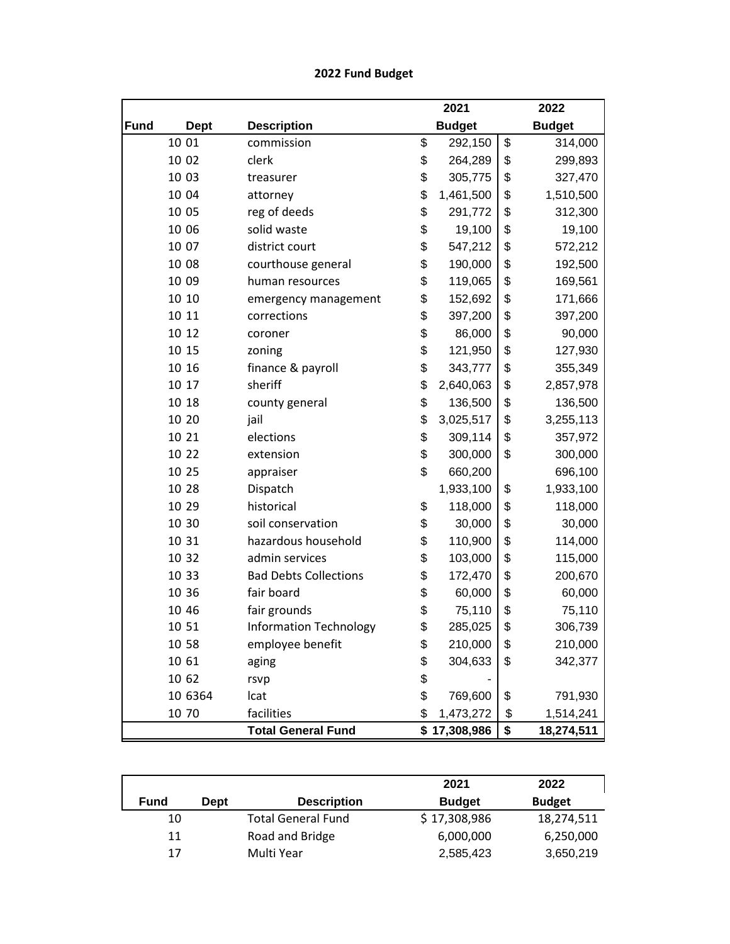## **2022 Fund Budget**

|             |             |                               | 2021            | 2022             |
|-------------|-------------|-------------------------------|-----------------|------------------|
| <b>Fund</b> | <b>Dept</b> | <b>Description</b>            | <b>Budget</b>   | <b>Budget</b>    |
|             | 10 01       | commission                    | \$<br>292,150   | \$<br>314,000    |
|             | 10 02       | clerk                         | \$<br>264,289   | \$<br>299,893    |
|             | 10 03       | treasurer                     | \$<br>305,775   | \$<br>327,470    |
|             | 10 04       | attorney                      | \$<br>1,461,500 | \$<br>1,510,500  |
|             | 10 05       | reg of deeds                  | \$<br>291,772   | \$<br>312,300    |
|             | 10 06       | solid waste                   | \$<br>19,100    | \$<br>19,100     |
|             | 10 07       | district court                | \$<br>547,212   | \$<br>572,212    |
|             | 10 08       | courthouse general            | \$<br>190,000   | \$<br>192,500    |
|             | 10 09       | human resources               | \$<br>119,065   | \$<br>169,561    |
|             | 10 10       | emergency management          | \$<br>152,692   | \$<br>171,666    |
|             | 10 11       | corrections                   | \$<br>397,200   | \$<br>397,200    |
|             | 10 12       | coroner                       | \$<br>86,000    | \$<br>90,000     |
|             | 10 15       | zoning                        | \$<br>121,950   | \$<br>127,930    |
|             | 10 16       | finance & payroll             | \$<br>343,777   | \$<br>355,349    |
|             | 10 17       | sheriff                       | \$<br>2,640,063 | \$<br>2,857,978  |
|             | 10 18       | county general                | \$<br>136,500   | \$<br>136,500    |
|             | 10 20       | jail                          | \$<br>3,025,517 | \$<br>3,255,113  |
|             | 10 21       | elections                     | \$<br>309,114   | \$<br>357,972    |
|             | 10 22       | extension                     | \$<br>300,000   | \$<br>300,000    |
|             | 10 25       | appraiser                     | \$<br>660,200   | 696,100          |
|             | 10 28       | Dispatch                      | 1,933,100       | \$<br>1,933,100  |
|             | 10 29       | historical                    | \$<br>118,000   | \$<br>118,000    |
|             | 10 30       | soil conservation             | \$<br>30,000    | \$<br>30,000     |
|             | 10 31       | hazardous household           | \$<br>110,900   | \$<br>114,000    |
|             | 10 32       | admin services                | \$<br>103,000   | \$<br>115,000    |
|             | 10 33       | <b>Bad Debts Collections</b>  | \$<br>172,470   | \$<br>200,670    |
|             | 10 36       | fair board                    | \$<br>60,000    | \$<br>60,000     |
|             | 10 46       | fair grounds                  | \$<br>75,110    | \$<br>75,110     |
|             | 10 51       | <b>Information Technology</b> | \$<br>285,025   | \$<br>306,739    |
|             | 10 58       | employee benefit              | \$<br>210,000   | \$<br>210,000    |
|             | 10 61       | aging                         | \$<br>304,633   | \$<br>342,377    |
|             | 10 62       | rsvp                          | \$              |                  |
|             | 10 6364     | Icat                          | \$<br>769,600   | \$<br>791,930    |
|             | 10 70       | facilities                    | \$<br>1,473,272 | \$<br>1,514,241  |
|             |             | <b>Total General Fund</b>     | \$17,308,986    | \$<br>18,274,511 |

|             |      |                           | 2021          | 2022          |
|-------------|------|---------------------------|---------------|---------------|
| <b>Fund</b> | Dept | <b>Description</b>        | <b>Budget</b> | <b>Budget</b> |
| 10          |      | <b>Total General Fund</b> | \$17,308,986  | 18,274,511    |
| 11          |      | Road and Bridge           | 6,000,000     | 6,250,000     |
| 17          |      | Multi Year                | 2,585,423     | 3,650,219     |